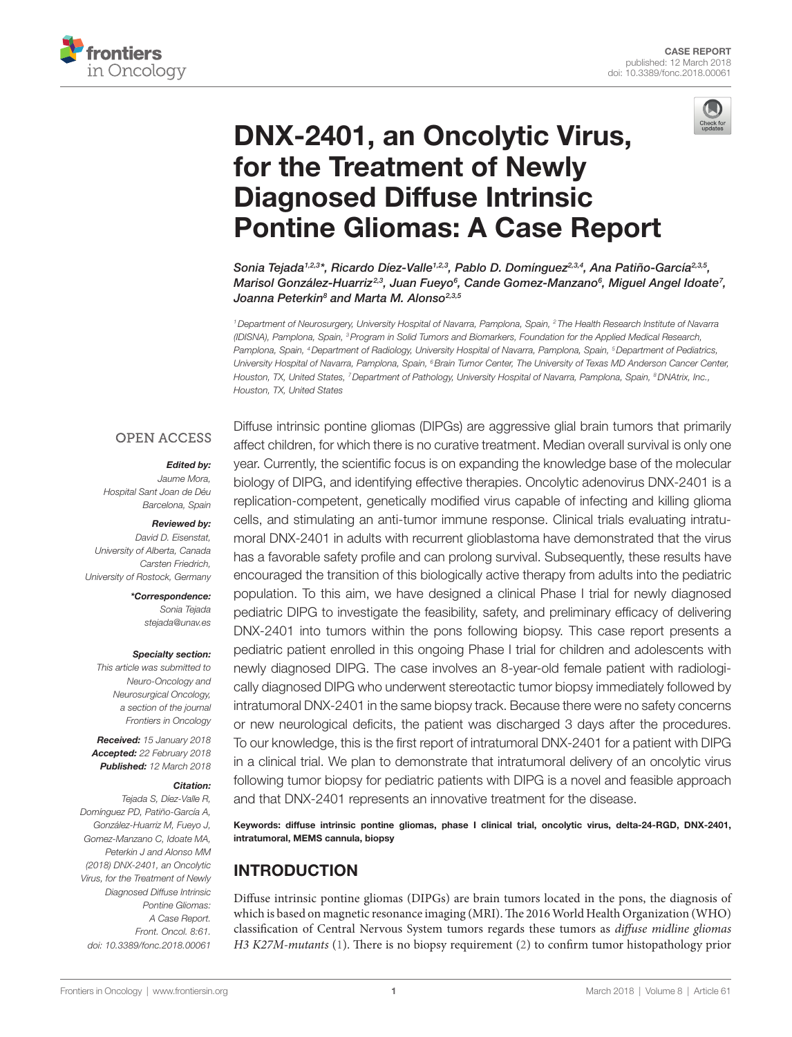



# [DNX-2401, an Oncolytic Virus,](https://www.frontiersin.org/Journal/10.3389/fonc.2018.00061/full)  [for the Treatment of Newly](https://www.frontiersin.org/Journal/10.3389/fonc.2018.00061/full)  [Diagnosed Diffuse Intrinsic](https://www.frontiersin.org/Journal/10.3389/fonc.2018.00061/full)  [Pontine Gliomas: A Case Report](https://www.frontiersin.org/Journal/10.3389/fonc.2018.00061/full)

*[Sonia Tejada1](http://loop.frontiersin.org/people/523268),2,3\*, Ricardo Díez-Valle1,2,3, [Pablo D. Domínguez](http://loop.frontiersin.org/people/393181)2,3,4, [Ana Patiño-García](https://loop.frontiersin.org/people/532693)2,3,5, [Marisol González-Huarriz2](http://loop.frontiersin.org/people/516771),3, Juan Fueyo6 , Cande Gomez-Manzano6 , Miguel Angel Idoate7 , Joanna Peterkin8 and [Marta M. Alonso](http://loop.frontiersin.org/people/502919)2,3,5*

*1Department of Neurosurgery, University Hospital of Navarra, Pamplona, Spain, 2 The Health Research Institute of Navarra (IDISNA), Pamplona, Spain, 3Program in Solid Tumors and Biomarkers, Foundation for the Applied Medical Research, Pamplona, Spain, 4Department of Radiology, University Hospital of Navarra, Pamplona, Spain, 5Department of Pediatrics, University Hospital of Navarra, Pamplona, Spain, 6Brain Tumor Center, The University of Texas MD Anderson Cancer Center, Houston, TX, United States, 7Department of Pathology, University Hospital of Navarra, Pamplona, Spain, 8DNAtrix, Inc., Houston, TX, United States*

#### **OPEN ACCESS**

#### *Edited by:*

*Jaume Mora, Hospital Sant Joan de Déu Barcelona, Spain*

#### *Reviewed by:*

*David D. Eisenstat, University of Alberta, Canada Carsten Friedrich, University of Rostock, Germany*

*\*Correspondence:*

*Sonia Tejada [stejada@unav.es](mailto:stejada@unav.es)*

#### *Specialty section:*

*This article was submitted to Neuro-Oncology and Neurosurgical Oncology, a section of the journal Frontiers in Oncology*

*Received: 15 January 2018 Accepted: 22 February 2018 Published: 12 March 2018*

#### *Citation:*

*Tejada S, Díez-Valle R, Domínguez PD, Patiño-García A, González-Huarriz M, Fueyo J, Gomez-Manzano C, Idoate MA, Peterkin J and Alonso MM (2018) DNX-2401, an Oncolytic Virus, for the Treatment of Newly Diagnosed Diffuse Intrinsic Pontine Gliomas: A Case Report. Front. Oncol. 8:61. doi: [10.3389/fonc.2018.00061](https://doi.org/10.3389/fonc.2018.00061)*

Diffuse intrinsic pontine gliomas (DIPGs) are aggressive glial brain tumors that primarily affect children, for which there is no curative treatment. Median overall survival is only one year. Currently, the scientific focus is on expanding the knowledge base of the molecular biology of DIPG, and identifying effective therapies. Oncolytic adenovirus DNX-2401 is a replication-competent, genetically modified virus capable of infecting and killing glioma cells, and stimulating an anti-tumor immune response. Clinical trials evaluating intratumoral DNX-2401 in adults with recurrent glioblastoma have demonstrated that the virus has a favorable safety profile and can prolong survival. Subsequently, these results have encouraged the transition of this biologically active therapy from adults into the pediatric population. To this aim, we have designed a clinical Phase I trial for newly diagnosed pediatric DIPG to investigate the feasibility, safety, and preliminary efficacy of delivering DNX-2401 into tumors within the pons following biopsy. This case report presents a pediatric patient enrolled in this ongoing Phase I trial for children and adolescents with newly diagnosed DIPG. The case involves an 8-year-old female patient with radiologically diagnosed DIPG who underwent stereotactic tumor biopsy immediately followed by intratumoral DNX-2401 in the same biopsy track. Because there were no safety concerns or new neurological deficits, the patient was discharged 3 days after the procedures. To our knowledge, this is the first report of intratumoral DNX-2401 for a patient with DIPG in a clinical trial. We plan to demonstrate that intratumoral delivery of an oncolytic virus following tumor biopsy for pediatric patients with DIPG is a novel and feasible approach and that DNX-2401 represents an innovative treatment for the disease.

Keywords: diffuse intrinsic pontine gliomas, phase I clinical trial, oncolytic virus, delta-24-RGD, DNX-2401, intratumoral, MEMS cannula, biopsy

## INTRODUCTION

Diffuse intrinsic pontine gliomas (DIPGs) are brain tumors located in the pons, the diagnosis of which is based on magnetic resonance imaging (MRI). The 2016 World Health Organization (WHO) classification of Central Nervous System tumors regards these tumors as *diffuse midline gliomas H3 K27M-mutants* [\(1\)](#page-4-0). There is no biopsy requirement [\(2\)](#page-4-1) to confirm tumor histopathology prior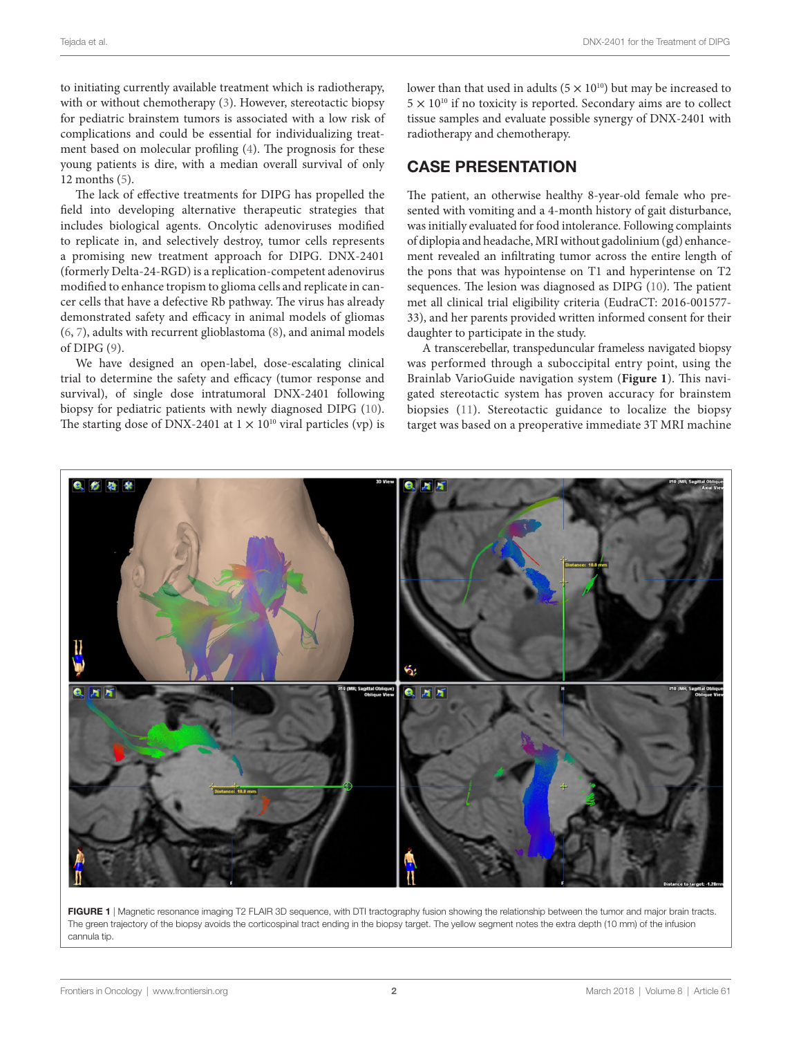to initiating currently available treatment which is radiotherapy, with or without chemotherapy ([3](#page-4-2)). However, stereotactic biopsy for pediatric brainstem tumors is associated with a low risk of complications and could be essential for individualizing treatment based on molecular profiling [\(4](#page-4-3)). The prognosis for these young patients is dire, with a median overall survival of only 12 months [\(5\)](#page-4-4).

The lack of effective treatments for DIPG has propelled the field into developing alternative therapeutic strategies that includes biological agents. Oncolytic adenoviruses modified to replicate in, and selectively destroy, tumor cells represents a promising new treatment approach for DIPG. DNX-2401 (formerly Delta-24-RGD) is a replication-competent adenovirus modified to enhance tropism to glioma cells and replicate in cancer cells that have a defective Rb pathway. The virus has already demonstrated safety and efficacy in animal models of gliomas ([6](#page-4-5), [7](#page-4-6)), adults with recurrent glioblastoma ([8](#page-4-7)), and animal models of DIPG [\(9\)](#page-4-8).

We have designed an open-label, dose-escalating clinical trial to determine the safety and efficacy (tumor response and survival), of single dose intratumoral DNX-2401 following biopsy for pediatric patients with newly diagnosed DIPG ([10\)](#page-4-9). The starting dose of DNX-2401 at  $1 \times 10^{10}$  viral particles (vp) is

lower than that used in adults  $(5 \times 10^{10})$  but may be increased to  $5 \times 10^{10}$  if no toxicity is reported. Secondary aims are to collect tissue samples and evaluate possible synergy of DNX-2401 with radiotherapy and chemotherapy.

#### CASE PRESENTATION

The patient, an otherwise healthy 8-year-old female who presented with vomiting and a 4-month history of gait disturbance, was initially evaluated for food intolerance. Following complaints of diplopia and headache, MRI without gadolinium (gd) enhancement revealed an infiltrating tumor across the entire length of the pons that was hypointense on T1 and hyperintense on T2 sequences. The lesion was diagnosed as DIPG (10). The patient met all clinical trial eligibility criteria (EudraCT: 2016-001577- 33), and her parents provided written informed consent for their daughter to participate in the study.

A transcerebellar, transpeduncular frameless navigated biopsy was performed through a suboccipital entry point, using the Brainlab VarioGuide navigation system (**[Figure 1](#page-1-0)**). This navigated stereotactic system has proven accuracy for brainstem biopsies [\(11\)](#page-4-10). Stereotactic guidance to localize the biopsy target was based on a preoperative immediate 3T MRI machine



<span id="page-1-0"></span>FIGURE 1 | Magnetic resonance imaging T2 FLAIR 3D sequence, with DTI tractography fusion showing the relationship between the tumor and major brain tracts. The green trajectory of the biopsy avoids the corticospinal tract ending in the biopsy target. The yellow segment notes the extra depth (10 mm) of the infusion cannula tip.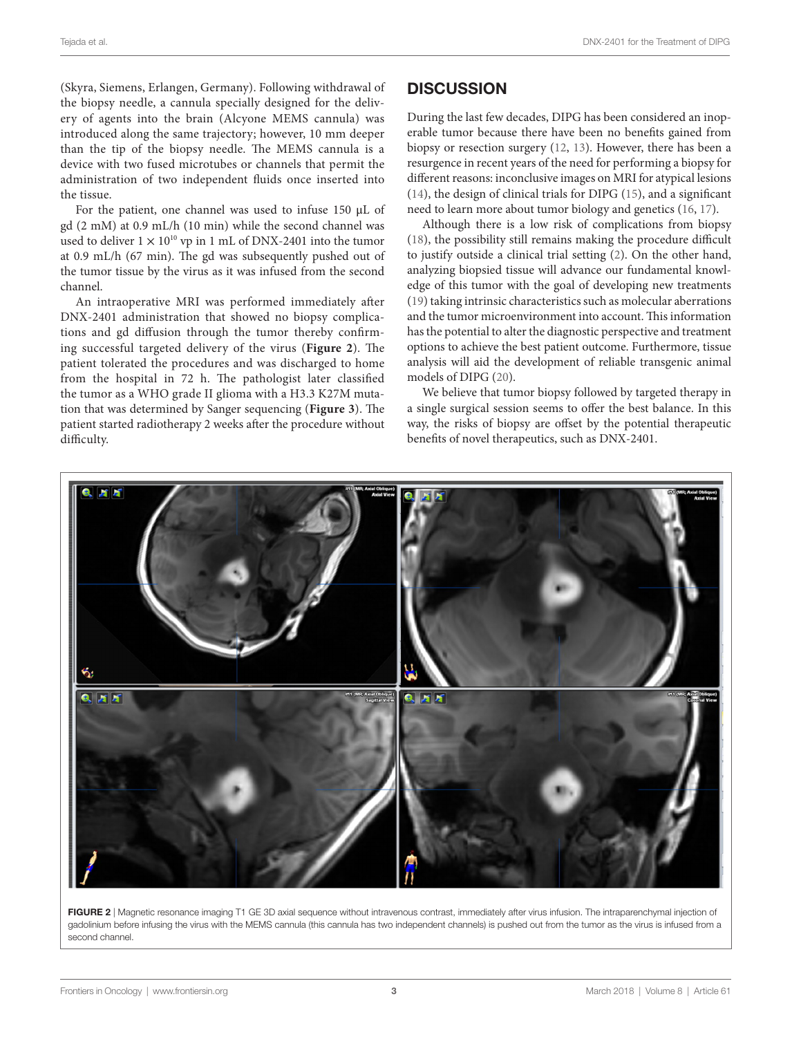(Skyra, Siemens, Erlangen, Germany). Following withdrawal of the biopsy needle, a cannula specially designed for the delivery of agents into the brain (Alcyone MEMS cannula) was introduced along the same trajectory; however, 10 mm deeper than the tip of the biopsy needle. The MEMS cannula is a device with two fused microtubes or channels that permit the administration of two independent fluids once inserted into the tissue.

For the patient, one channel was used to infuse 150 μL of gd (2 mM) at 0.9 mL/h (10 min) while the second channel was used to deliver  $1 \times 10^{10}$  vp in 1 mL of DNX-2401 into the tumor at 0.9 mL/h (67 min). The gd was subsequently pushed out of the tumor tissue by the virus as it was infused from the second channel.

An intraoperative MRI was performed immediately after DNX-2401 administration that showed no biopsy complications and gd diffusion through the tumor thereby confirming successful targeted delivery of the virus (**[Figure 2](#page-2-0)**). The patient tolerated the procedures and was discharged to home from the hospital in 72 h. The pathologist later classified the tumor as a WHO grade II glioma with a H3.3 K27M mutation that was determined by Sanger sequencing (**[Figure 3](#page-3-0)**). The patient started radiotherapy 2 weeks after the procedure without difficulty.

#### **DISCUSSION**

During the last few decades, DIPG has been considered an inoperable tumor because there have been no benefits gained from biopsy or resection surgery ([12,](#page-4-11) [13](#page-4-12)). However, there has been a resurgence in recent years of the need for performing a biopsy for different reasons: inconclusive images on MRI for atypical lesions [\(14\)](#page-4-13), the design of clinical trials for DIPG [\(15\)](#page-4-14), and a significant need to learn more about tumor biology and genetics ([16,](#page-4-15) [17](#page-4-16)).

Although there is a low risk of complications from biopsy [\(18\)](#page-4-17), the possibility still remains making the procedure difficult to justify outside a clinical trial setting ([2\)](#page-4-1). On the other hand, analyzing biopsied tissue will advance our fundamental knowledge of this tumor with the goal of developing new treatments [\(19\)](#page-4-18) taking intrinsic characteristics such as molecular aberrations and the tumor microenvironment into account. This information has the potential to alter the diagnostic perspective and treatment options to achieve the best patient outcome. Furthermore, tissue analysis will aid the development of reliable transgenic animal models of DIPG [\(20](#page-4-19)).

We believe that tumor biopsy followed by targeted therapy in a single surgical session seems to offer the best balance. In this way, the risks of biopsy are offset by the potential therapeutic benefits of novel therapeutics, such as DNX-2401.



<span id="page-2-0"></span>FIGURE 2 | Magnetic resonance imaging T1 GE 3D axial sequence without intravenous contrast, immediately after virus infusion. The intraparenchymal injection of gadolinium before infusing the virus with the MEMS cannula (this cannula has two independent channels) is pushed out from the tumor as the virus is infused from a second channel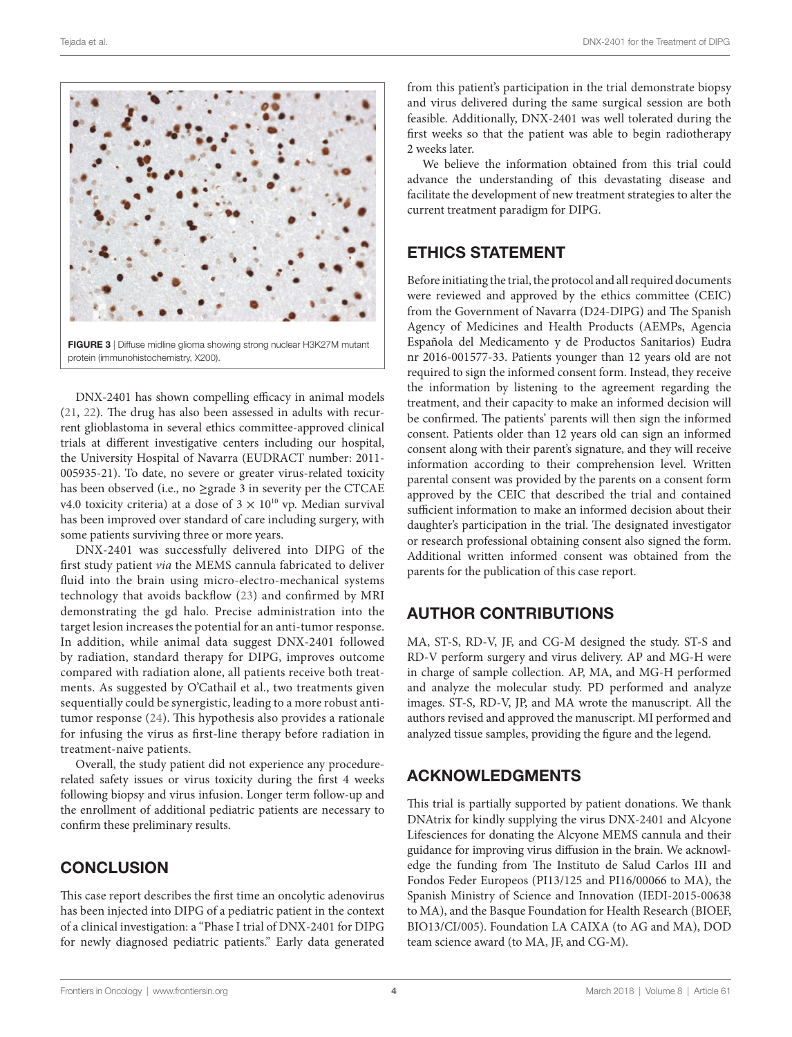

<span id="page-3-0"></span>DNX-2401 has shown compelling efficacy in animal models ([21,](#page-4-20) [22](#page-4-21)). The drug has also been assessed in adults with recurrent glioblastoma in several ethics committee-approved clinical trials at different investigative centers including our hospital, the University Hospital of Navarra (EUDRACT number: 2011- 005935-21). To date, no severe or greater virus-related toxicity has been observed (i.e., no ≥grade 3 in severity per the CTCAE v4.0 toxicity criteria) at a dose of  $3 \times 10^{10}$  vp. Median survival has been improved over standard of care including surgery, with some patients surviving three or more years.

DNX-2401 was successfully delivered into DIPG of the first study patient *via* the MEMS cannula fabricated to deliver fluid into the brain using micro-electro-mechanical systems technology that avoids backflow ([23](#page-4-22)) and confirmed by MRI demonstrating the gd halo. Precise administration into the target lesion increases the potential for an anti-tumor response. In addition, while animal data suggest DNX-2401 followed by radiation, standard therapy for DIPG, improves outcome compared with radiation alone, all patients receive both treatments. As suggested by O'Cathail et al., two treatments given sequentially could be synergistic, leading to a more robust antitumor response ([24](#page-4-23)). This hypothesis also provides a rationale for infusing the virus as first-line therapy before radiation in treatment-naive patients.

Overall, the study patient did not experience any procedurerelated safety issues or virus toxicity during the first 4 weeks following biopsy and virus infusion. Longer term follow-up and the enrollment of additional pediatric patients are necessary to confirm these preliminary results.

## **CONCLUSION**

This case report describes the first time an oncolytic adenovirus has been injected into DIPG of a pediatric patient in the context of a clinical investigation: a "Phase I trial of DNX-2401 for DIPG for newly diagnosed pediatric patients." Early data generated from this patient's participation in the trial demonstrate biopsy and virus delivered during the same surgical session are both feasible. Additionally, DNX-2401 was well tolerated during the first weeks so that the patient was able to begin radiotherapy 2 weeks later.

We believe the information obtained from this trial could advance the understanding of this devastating disease and facilitate the development of new treatment strategies to alter the current treatment paradigm for DIPG.

## ETHICS STATEMENT

Before initiating the trial, the protocol and all required documents were reviewed and approved by the ethics committee (CEIC) from the Government of Navarra (D24-DIPG) and The Spanish Agency of Medicines and Health Products (AEMPs, Agencia Española del Medicamento y de Productos Sanitarios) Eudra nr 2016-001577-33. Patients younger than 12 years old are not required to sign the informed consent form. Instead, they receive the information by listening to the agreement regarding the treatment, and their capacity to make an informed decision will be confirmed. The patients' parents will then sign the informed consent. Patients older than 12 years old can sign an informed consent along with their parent's signature, and they will receive information according to their comprehension level. Written parental consent was provided by the parents on a consent form approved by the CEIC that described the trial and contained sufficient information to make an informed decision about their daughter's participation in the trial. The designated investigator or research professional obtaining consent also signed the form. Additional written informed consent was obtained from the parents for the publication of this case report.

## AUTHOR CONTRIBUTIONS

MA, ST-S, RD-V, JF, and CG-M designed the study. ST-S and RD-V perform surgery and virus delivery. AP and MG-H were in charge of sample collection. AP, MA, and MG-H performed and analyze the molecular study. PD performed and analyze images. ST-S, RD-V, JP, and MA wrote the manuscript. All the authors revised and approved the manuscript. MI performed and analyzed tissue samples, providing the figure and the legend.

## ACKNOWLEDGMENTS

This trial is partially supported by patient donations. We thank DNAtrix for kindly supplying the virus DNX-2401 and Alcyone Lifesciences for donating the Alcyone MEMS cannula and their guidance for improving virus diffusion in the brain. We acknowledge the funding from The Instituto de Salud Carlos III and Fondos Feder Europeos (PI13/125 and PI16/00066 to MA), the Spanish Ministry of Science and Innovation (IEDI-2015-00638 to MA), and the Basque Foundation for Health Research (BIOEF, BIO13/CI/005). Foundation LA CAIXA (to AG and MA), DOD team science award (to MA, JF, and CG-M).